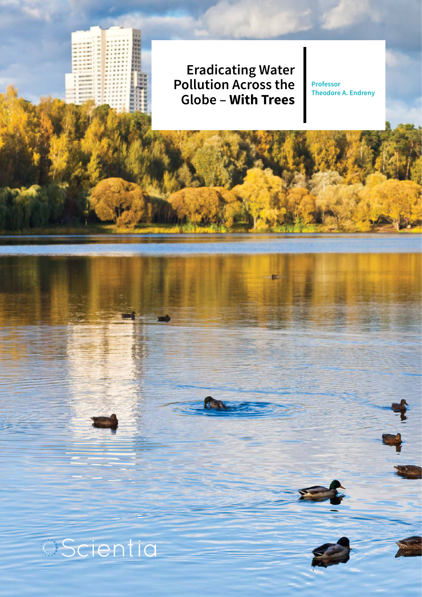**Eradicating Water Pollution Across the Globe – With Trees** 

**Professor Theodore A. Endreny** 

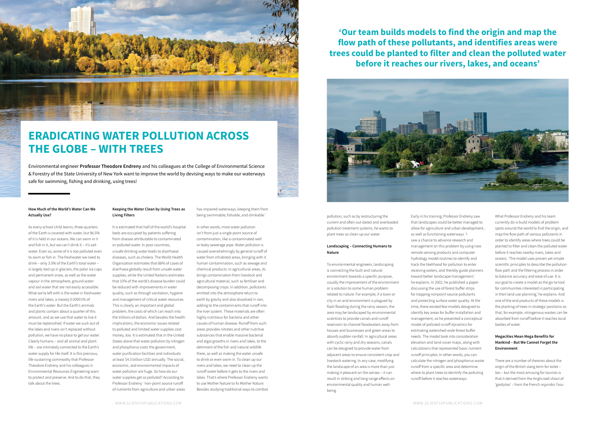#### **How Much of the World's Water Can We Actually Use?**

As every school child learns, three-quarters of the Earth is covered with water, but 96.5% of it is held in our oceans. We can swim in it and fish in it, but we can't drink it – it's salt water. Even so, some of it is too polluted even to swim or fish in. The freshwater we need to drink – only 3.5% of the Earth's total water – is largely tied up in glaciers, the polar ice caps and permanent snow, as well as the water vapour in the atmosphere, ground water and soil water that are not easily accessible. What we're left with is the water in freshwater rivers and lakes, a measly 0.00001% of the Earth's water. But the Earth's animals and plants contain about a quarter of this amount, and as we use that water to live it must be replenished. If water we suck out of the lakes and rivers isn't replaced without pollution, we have no place to get our water. Clearly humans – and all animal and plant life – are intimately connected to the Earth's water supply for life itself. It is this precious, life-sustaining commodity that Professor Theodore Endreny and his colleagues in Environmental Resources Engineering want to protect and preserve. And to do that, they talk about the trees.

#### **Keeping the Water Clean by Using Trees as Living Filters**

It is estimated that half of the world's hospital beds are occupied by patients suffering from disease attributable to contaminated or polluted water. In poor countries, unsafe drinking water leads to diarrhoeal diseases, such as cholera. The World Health Organization estimates that 88% of cases of diarrhoea globally result from unsafe water supplies, while the United Nations estimates that 10% of the world's disease burden could be reduced with improvements in water quality, such as through sanitation, hygiene and management of critical water resources. This is clearly an important and global problem, the costs of which can reach into the trillions of dollars. And besides the health implications, the economic issues related to polluted and limited water supplies cost money, too. It is estimated that in the United States alone that water pollution by nitrogen and phosphorus costs the government, water purification facilities and individuals at least \$4.3 billion USD annually. The social, economic, and environmental impacts of water pollution are huge. So how do our water supplies get so polluted? According to Professor Endreny: 'non-point source runoff of nutrients from agriculture and urban areas



## **ERADICATING WATER POLLUTION ACROSS THE GLOBE – WITH TREES**

Environmental engineer **Professor Theodore Endreny** and his colleagues at the College of Environmental Science & Forestry of the State University of New York want to improve the world by devising ways to make our waterways safe for swimming, fishing and drinking, using trees!

> has impaired waterways, keeping them from being swimmable, fishable, and drinkable.'

In other words, most water pollution isn't from just a single point source of contamination, like a contaminated well or leaky sewerage pipe. Water pollution is caused overwhelmingly by general runoff of water from inhabited areas, bringing with it human contamination, such as sewage and chemical products. In agricultural areas, its brings contamination from livestock and agricultural material, such as fertiliser and decomposing crops. In addition, pollutants emitted into the atmosphere return to earth by gravity and also dissolved in rain, adding to the contaminants that runoff into the river system. These materials are often highly nutritious for bacteria and other causes of human disease. Runoff from such areas provides nitrates and other nutritive substances that enable massive bacterial and algal growths in rivers and lakes, to the detriment of the fish and natural wildlife there, as well as making the water unsafe to drink or even swim in. To clean up our rivers and lakes, we need to clean up the runoff water before it gets to the rivers and lakes. That's where Professor Endreny wants to use Mother Nature to fix Mother Nature. Besides studying traditional ways to combat

pollution, such as by restructuring the current and often out-dated and overloaded pollution treatment systems, he wants to plant trees so clean up our water.

#### **Landscaping – Connecting Humans to Nature**

To environmental engineers, landscaping is connecting the built and natural environment towards a specific purpose, usually the improvement of the environment or a solution to some human problem related to nature. For example, if a town or city in an arid environment is plagued by flash flooding during the rainy season, the area may be landscaped by environmental scientists to provide canals and runoff reservoirs to channel floodwaters away from houses and businesses and green areas to absorb sudden rainfall. In agricultural areas with cyclic rainy and dry seasons, canals can be designed to provide water from adjacent areas to ensure consistent crop and livestock watering. In any case, modifying the landscape of an area is more than just making it pleasant on the senses – it can result in striking and long-range effects on environmental quality and human wellbeing.

Early in his training, Professor Endreny saw that landscapes could be better managed to allow for agriculture and urban development, as well as functioning waterways. 'I saw a chance to advance research and management on this problem by using new remote sensing products and computer hydrology model routines to identify and track the likelihood for pollution to enter receiving waters, and thereby guide planners toward better landscape management,' he explains. In 2002, he published a paper discussing the use of forest buffer strips for trapping nonpoint-source pollutants and protecting surface water quality. At the time, there existed few models designed to identify key areas for buffer installation and management, so he presented a conceptual model of polluted runoff dynamics for estimating watershed-wide forest buffer needs. The model took into consideration elevation and land-cover maps, along with calculations that represented basic nutrient runoff principles. In other words, you can calculate the nitrogen and phosphorus waste runoff from a specific area and determine where to plant trees to denitrify the polluting runoff before it reaches waterways.

What Professor Endreny and his team currently do is build models of problem spots around the world to find the origin, and map the flow path of various pollutants in order to identify areas where trees could be planted to filter and clean the polluted water before it reaches nearby rivers, lakes and oceans. 'The model uses proven yet simple scientific principles to describe the pollution flow path and the filtering process in order to balance accuracy and ease of use. It is our goal to create a model as the go-to tool for communities interested in participating in their land use planning,' he explains. And one of the end products of these models is the planting of trees in strategic positions so that, for example, nitrogenous wastes can be absorbed from runoff before it reaches local bodies of water.

#### **Megacities Mean Mega Benefits for Mankind – But We Cannot Forget the Environment**

There are a number of theories about the origin of the British slang term for toilet – loo – but the most amusing for tourists is that it derived from the Anglicised shout of 'gardyloo' – from the French *regardez l'eau* 

**'Our team builds models to find the origin and map the flow path of these pollutants, and identifies areas were trees could be planted to filter and clean the polluted water before it reaches our rivers, lakes, and oceans'**